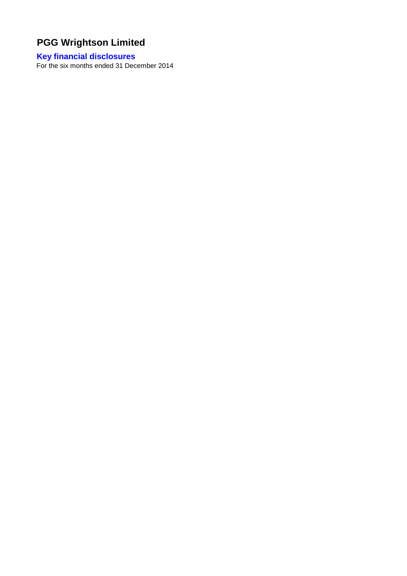# **Key financial disclosures**

For the six months ended 31 December 2014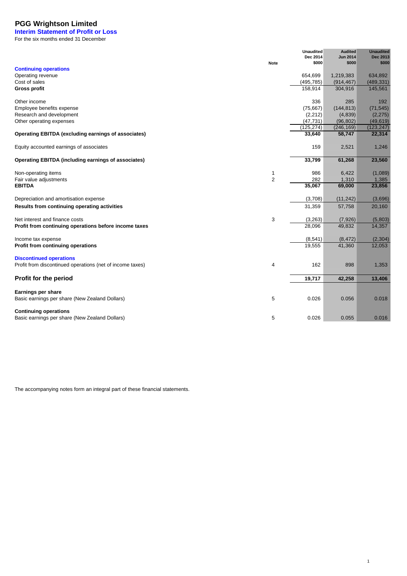**Interim Statement of Profit or Loss** For the six months ended 31 December

|                                                            |                | <b>Unaudited</b><br>Dec 2014 | <b>Audited</b><br><b>Jun 2014</b> | <b>Unaudited</b><br>Dec 2013 |
|------------------------------------------------------------|----------------|------------------------------|-----------------------------------|------------------------------|
|                                                            | <b>Note</b>    | \$000                        | \$000                             | \$000                        |
| <b>Continuing operations</b>                               |                |                              |                                   |                              |
| Operating revenue                                          |                | 654,699                      | 1,219,383                         | 634,892                      |
| Cost of sales                                              |                | (495, 785)                   | (914, 467)                        | (489, 331)                   |
| Gross profit                                               |                | 158,914                      | 304,916                           | 145,561                      |
| Other income                                               |                | 336                          | 285                               | 192                          |
| Employee benefits expense                                  |                | (75, 667)                    | (144, 813)                        | (71, 545)                    |
| Research and development                                   |                | (2, 212)                     | (4,839)                           | (2, 275)                     |
| Other operating expenses                                   |                | (47, 731)                    | (96, 802)                         | (49, 619)                    |
|                                                            |                | (125, 274)                   | (246, 169)                        | (123, 247)                   |
| Operating EBITDA (excluding earnings of associates)        |                | 33,640                       | 58,747                            | 22,314                       |
| Equity accounted earnings of associates                    |                | 159                          | 2,521                             | 1,246                        |
| <b>Operating EBITDA (including earnings of associates)</b> |                | 33,799                       | 61,268                            | 23,560                       |
| Non-operating items                                        | 1              | 986                          | 6,422                             | (1,089)                      |
| Fair value adjustments                                     | $\overline{2}$ | 282                          | 1,310                             | 1,385                        |
| <b>EBITDA</b>                                              |                | 35,067                       | 69,000                            | 23,856                       |
| Depreciation and amortisation expense                      |                | (3,708)                      | (11, 242)                         | (3,696)                      |
| Results from continuing operating activities               |                | 31,359                       | 57,758                            | 20,160                       |
| Net interest and finance costs                             | 3              | (3,263)                      | (7,926)                           | (5,803)                      |
| Profit from continuing operations before income taxes      |                | 28,096                       | 49,832                            | 14,357                       |
| Income tax expense                                         |                | (8,541)                      | (8, 472)                          | (2, 304)                     |
| Profit from continuing operations                          |                | 19,555                       | 41,360                            | 12,053                       |
| <b>Discontinued operations</b>                             |                |                              |                                   |                              |
| Profit from discontinued operations (net of income taxes)  | 4              | 162                          | 898                               | 1,353                        |
| Profit for the period                                      |                | 19,717                       | 42,258                            | 13,406                       |
| Earnings per share                                         |                |                              |                                   |                              |
| Basic earnings per share (New Zealand Dollars)             | 5              | 0.026                        | 0.056                             | 0.018                        |
| <b>Continuing operations</b>                               |                |                              |                                   |                              |
| Basic earnings per share (New Zealand Dollars)             | 5              | 0.026                        | 0.055                             | 0.016                        |

1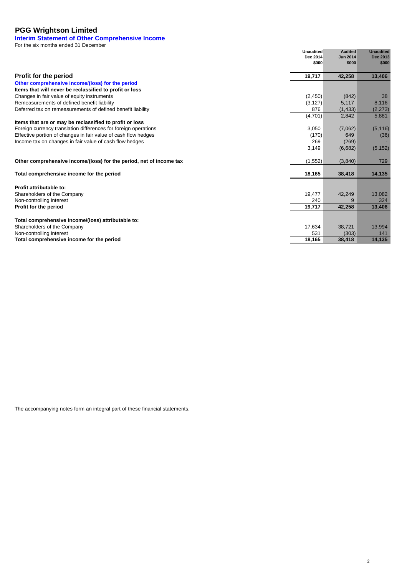## **Interim Statement of Other Comprehensive Income**

For the six months ended 31 December

|                                                                       | <b>Unaudited</b><br>Dec 2014<br>\$000 | <b>Audited</b><br><b>Jun 2014</b><br>\$000 | <b>Unaudited</b><br>Dec 2013<br>\$000 |
|-----------------------------------------------------------------------|---------------------------------------|--------------------------------------------|---------------------------------------|
|                                                                       |                                       |                                            |                                       |
| <b>Profit for the period</b>                                          | 19,717                                | 42,258                                     | 13,406                                |
| Other comprehensive income/(loss) for the period                      |                                       |                                            |                                       |
| Items that will never be reclassified to profit or loss               |                                       |                                            |                                       |
| Changes in fair value of equity instruments                           | (2,450)                               | (842)                                      | 38                                    |
| Remeasurements of defined benefit liability                           | (3, 127)                              | 5,117                                      | 8,116                                 |
| Deferred tax on remeasurements of defined benefit liability           | 876                                   | (1, 433)                                   | (2, 273)                              |
|                                                                       | (4,701)                               | 2,842                                      | 5,881                                 |
| Items that are or may be reclassified to profit or loss               |                                       |                                            |                                       |
| Foreign currency translation differences for foreign operations       | 3,050                                 | (7,062)                                    | (5, 116)                              |
| Effective portion of changes in fair value of cash flow hedges        | (170)                                 | 649                                        | (36)                                  |
| Income tax on changes in fair value of cash flow hedges               | 269                                   | (269)                                      |                                       |
|                                                                       | 3,149                                 | (6,682)                                    | (5, 152)                              |
| Other comprehensive income/(loss) for the period, net of income tax   | (1, 552)                              | (3,840)                                    | 729                                   |
| Total comprehensive income for the period                             | 18,165                                | 38,418                                     | 14,135                                |
| Profit attributable to:                                               |                                       |                                            |                                       |
| Shareholders of the Company                                           | 19,477                                | 42,249                                     | 13,082                                |
| Non-controlling interest                                              | 240                                   | 9                                          | 324                                   |
| Profit for the period                                                 | 19,717                                | 42,258                                     | 13,406                                |
|                                                                       |                                       |                                            |                                       |
| Total comprehensive income/(loss) attributable to:                    |                                       |                                            |                                       |
| Shareholders of the Company                                           | 17,634<br>531                         | 38,721<br>(303)                            | 13,994<br>141                         |
| Non-controlling interest<br>Total comprehensive income for the period | 18,165                                | 38,418                                     | 14,135                                |
|                                                                       |                                       |                                            |                                       |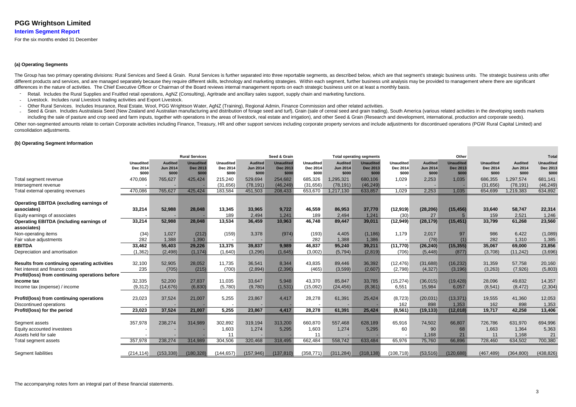# **Interim Segment Report**

For the six months ended 31 December

## **(a) Operating Segments**

The Group has two primary operating divisions: Rural Services and Seed & Grain. Rural Services is further separated into three reportable segments, as described below, which are that segment's strategic business units. The different products and services, and are managed separately because they require different skills, technology and marketing strategies. Within each segment, further business unit analysis may be provided to management wher differences in the nature of activities. The Chief Executive Officer or Chairman of the Board reviews internal management reports on each strategic business unit on at least a monthly basis.

- Retail. Includes the Rural Supplies and Fruitfed retail operations, AgNZ (Consulting), Agritrade and ancillary sales support, supply chain and marketing functions.
- ----Livestock. Includes rural Livestock trading activities and Export Livestock.
- Other Rural Services. Includes Insurance, Real Estate, Wool, PGG Wrightson Water, AgNZ (Training), Regional Admin, Finance Commission and other related activities.  $\sim$
- $\sim$ Seed & Grain. Includes Australasia Seed (New Zealand and Australian manufacturing and distribution of forage seed and turf), Grain (sale of cereal seed and grain trading), South America (various related activities in the d including the sale of pasture and crop seed and farm inputs, together with operations in the areas of livestock, real estate and irrigation), and other Seed & Grain (Research and development, international, production and Other non-segmented amounts relate to certain Corporate activities including Finance, Treasury, HR and other support services including corporate property services and include adjustments for discontinued operations (PGW R consolidation adjustments.

## **(b) Operating Segment Information**

|                                                                     |                                       |                                            | <b>Rural Services</b>                 |                                       |                                            | Seed & Grain                          |                                       |                                            | <b>Total operating segments</b>       |                                |                                            | Other                                        |                                       |                                            | <b>Total</b>                          |
|---------------------------------------------------------------------|---------------------------------------|--------------------------------------------|---------------------------------------|---------------------------------------|--------------------------------------------|---------------------------------------|---------------------------------------|--------------------------------------------|---------------------------------------|--------------------------------|--------------------------------------------|----------------------------------------------|---------------------------------------|--------------------------------------------|---------------------------------------|
|                                                                     | <b>Unaudited</b><br>Dec 2014<br>\$000 | <b>Audited</b><br><b>Jun 2014</b><br>\$000 | <b>Unaudited</b><br>Dec 2013<br>\$000 | <b>Unaudited</b><br>Dec 2014<br>\$000 | <b>Audited</b><br><b>Jun 2014</b><br>\$000 | <b>Unaudited</b><br>Dec 2013<br>\$000 | <b>Unaudited</b><br>Dec 2014<br>\$000 | <b>Audited</b><br><b>Jun 2014</b><br>\$000 | Unaudited<br><b>Dec 2013</b><br>\$000 | Unaudited<br>Dec 2014<br>\$000 | <b>Audited</b><br><b>Jun 2014</b><br>\$000 | <b>Unaudited</b><br><b>Dec 2013</b><br>\$000 | <b>Unaudited</b><br>Dec 2014<br>\$000 | <b>Audited</b><br><b>Jun 2014</b><br>\$000 | <b>Unaudited</b><br>Dec 2013<br>\$000 |
| Total segment revenue                                               | 470,086                               | 765,627                                    | 425,424                               | 215,240                               | 529,694                                    | 254,682                               | 685,326                               | 1,295,321                                  | 680,106                               | 1,029                          | 2,253                                      | 1.035                                        | 686,355                               | 1,297,574                                  | 681,141                               |
| Intersegment revenue                                                |                                       |                                            |                                       | (31,656)                              | (78, 191)                                  | (46, 249)                             | (31,656)                              | (78, 191)                                  | (46, 249)                             |                                |                                            |                                              | (31, 656)                             | (78, 191)                                  | (46, 249)                             |
| Total external operating revenues                                   | 470,086                               | 765,627                                    | 425,424                               | 183,584                               | 451,503                                    | 208,433                               | 653,670                               | 1,217,130                                  | 633,857                               | 1,029                          | 2.253                                      | 1.035                                        | 654,699                               | 1,219,383                                  | 634,892                               |
| <b>Operating EBITDA (excluding earnings of</b>                      |                                       |                                            |                                       |                                       |                                            |                                       |                                       |                                            |                                       |                                |                                            |                                              |                                       |                                            |                                       |
| associates)                                                         | 33,214                                | 52,988                                     | 28,048                                | 13,345                                | 33,965                                     | 9,722                                 | 46,559                                | 86,953                                     | 37,770                                | (12, 919)                      | (28, 206)                                  | (15, 456)                                    | 33,640                                | 58,747                                     | 22,314                                |
| Equity earnings of associates                                       |                                       |                                            |                                       | 189                                   | 2.494                                      | 1.241                                 | 189                                   | 2.494                                      | 1.241                                 | (30)                           | 27                                         |                                              | 159                                   | 2.521                                      | 1,246                                 |
| <b>Operating EBITDA (including earnings of</b><br>associates)       | 33,214                                | 52,988                                     | 28,048                                | 13,534                                | 36,459                                     | 10,963                                | 46,748                                | 89,447                                     | 39,011                                | (12, 949)                      | (28, 179)                                  | (15, 451)                                    | 33,799                                | 61,268                                     | 23,560                                |
| Non-operating items                                                 | (34)                                  | 1,027                                      | (212)                                 | (159)                                 | 3,378                                      | (974)                                 | (193)                                 | 4,405                                      | (1, 186)                              | 1,179                          | 2,017                                      | 97                                           | 986                                   | 6,422                                      | (1,089)                               |
| Fair value adjustments                                              | 282                                   | 1,388                                      | 1.390                                 |                                       |                                            |                                       | 282                                   | 1,388                                      | 1.386                                 |                                | (78)                                       |                                              | 282                                   | 1,310                                      | 1,385                                 |
| <b>EBITDA</b>                                                       | 33,462                                | 55,403                                     | 29,226                                | 13,375                                | 39,837                                     | 9,989                                 | 46,837                                | 95,240                                     | 39,211                                | (11, 770)                      | (26, 240)                                  | (15, 355)                                    | 35,067                                | 69,000                                     | 23,856                                |
| Depreciation and amortisation                                       | (1, 362)                              | (2, 498)                                   | (1, 174)                              | (1,640)                               | (3,296)                                    | (1,645)                               | (3,002)                               | (5,794)                                    | (2,819)                               | (706)                          | (5, 448)                                   | (877)                                        | (3,708)                               | (11, 242)                                  | (3,696)                               |
| Results from continuing operating activities                        | 32,100                                | 52,905                                     | 28,052                                | 11,735                                | 36,541                                     | 8,344                                 | 43,835                                | 89,446                                     | 36,392                                | (12, 476)                      | (31,688)                                   | (16, 232)                                    | 31,359                                | 57,758                                     | 20,160                                |
| Net interest and finance costs                                      | 235                                   | (705)                                      | (215)                                 | (700)                                 | (2,894)                                    | (2,396)                               | (465)                                 | (3,599)                                    | (2,607)                               | (2,798)                        | (4,327)                                    | (3, 196)                                     | (3,263)                               | (7, 926)                                   | (5,803)                               |
| Profit/(loss) from continuing operations before                     |                                       |                                            |                                       |                                       |                                            |                                       |                                       |                                            |                                       |                                |                                            |                                              |                                       |                                            |                                       |
| income tax                                                          | 32,335                                | 52,200                                     | 27,837                                | 11,035                                | 33,647                                     | 5,948                                 | 43,370                                | 85,847                                     | 33,785                                | (15, 274)                      | (36, 015)                                  | (19, 428)                                    | 28,096                                | 49,832                                     | 14,357                                |
| Income tax (expense) / income                                       | (9,312)                               | (14, 676)                                  | (6,830)                               | (5,780)                               | (9,780)                                    | (1,531)                               | (15,092)                              | (24, 456)                                  | (8, 361)                              | 6,551                          | 15,984                                     | 6.057                                        | (8, 541)                              | (8, 472)                                   | (2,304)                               |
| Profit/(loss) from continuing operations<br>Discontinued operations | 23,023                                | 37,524                                     | 21,007                                | 5,255                                 | 23,867                                     | 4.417                                 | 28,278                                | 61,391                                     | 25,424                                | (8, 723)<br>162                | (20, 031)<br>898                           | (13, 371)<br>1,353                           | 19,555<br>162                         | 41,360<br>898                              | 12,053<br>1,353                       |
| Profit/(loss) for the period                                        | 23,023                                | 37,524                                     | 21,007                                | 5,255                                 | 23,867                                     | 4.417                                 | 28,278                                | 61,391                                     | 25,424                                | (8, 561)                       | (19, 133)                                  | (12, 018)                                    | 19,717                                | 42,258                                     | 13,406                                |
| Segment assets                                                      | 357,978                               | 238,274                                    | 314,989                               | 302,892                               | 319,194                                    | 313,200                               | 660,870                               | 557,468                                    | 628,189                               | 65,916                         | 74,502                                     | 66,807                                       | 726,786                               | 631,970                                    | 694,996                               |
| Equity accounted investees                                          |                                       |                                            |                                       | 1.603                                 | 1,274                                      | 5,295                                 | 1,603                                 | 1.274                                      | 5.295                                 | 60                             | 90                                         | 68                                           | 1,663                                 | 1,364                                      | 5,363                                 |
| Assets held for sale                                                |                                       |                                            |                                       | 11                                    |                                            |                                       | 11                                    |                                            |                                       |                                | 1,168                                      | 21                                           | 11                                    | 1,168                                      | 21                                    |
| Total segment assets                                                | 357,978                               | 238,274                                    | 314,989                               | 304,506                               | 320,468                                    | 318,495                               | 662,484                               | 558,742                                    | 633,484                               | 65,976                         | 75,760                                     | 66,896                                       | 728,460                               | 634,502                                    | 700,380                               |
| Segment liabilities                                                 | (214, 114)                            | (153, 338)                                 | (180, 328)                            | (144, 657)                            | (157, 946)                                 | (137, 810)                            | (358, 771)                            | (311, 284)                                 | (318, 138)                            | (108, 718)                     | (53, 516)                                  | (120, 688)                                   | (467, 489)                            | (364, 800)                                 | (438, 826)                            |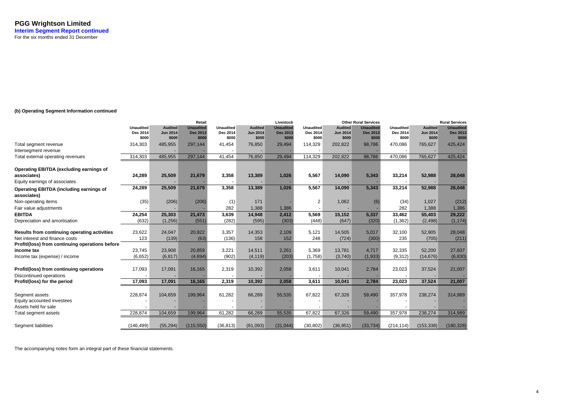# **(b) Operating Segment Information continued**

|                                                               |                  |                 | Retail           |                  |                 | Livestock        |                  |                 | <b>Other Rural Services</b> |                  |                 | <b>Rural Services</b> |
|---------------------------------------------------------------|------------------|-----------------|------------------|------------------|-----------------|------------------|------------------|-----------------|-----------------------------|------------------|-----------------|-----------------------|
|                                                               | <b>Unaudited</b> | <b>Audited</b>  | <b>Unaudited</b> | <b>Unaudited</b> | <b>Audited</b>  | <b>Unaudited</b> | <b>Unaudited</b> | <b>Audited</b>  | <b>Unaudited</b>            | <b>Unaudited</b> | <b>Audited</b>  | <b>Unaudited</b>      |
|                                                               | Dec 2014         | <b>Jun 2014</b> | <b>Dec 2013</b>  | Dec 2014         | <b>Jun 2014</b> | Dec 2013         | Dec 2014         | <b>Jun 2014</b> | <b>Dec 2013</b>             | Dec 2014         | <b>Jun 2014</b> | Dec 2013              |
|                                                               | \$000            | \$000           | \$000            | \$000            | \$000           | \$000            | \$000            | \$000           | \$000                       | \$000            | \$000           | \$000                 |
| Total segment revenue                                         | 314,303          | 485,955         | 297,144          | 41,454           | 76,850          | 29,494           | 114,329          | 202,822         | 98,786                      | 470,086          | 765,627         | 425,424               |
| Intersegment revenue                                          |                  |                 |                  |                  |                 |                  |                  |                 |                             |                  |                 |                       |
| Total external operating revenues                             | 314,303          | 485,955         | 297,144          | 41,454           | 76,850          | 29,494           | 114,329          | 202,822         | 98,786                      | 470,086          | 765,627         | 425,424               |
| Operating EBITDA (excluding earnings of                       |                  |                 |                  |                  |                 |                  |                  |                 |                             |                  |                 |                       |
| associates)                                                   | 24,289           | 25,509          | 21,679           | 3,358            | 13,389          | 1,026            | 5,567            | 14,090          | 5,343                       | 33,214           | 52,988          | 28,048                |
| Equity earnings of associates                                 |                  |                 |                  |                  |                 |                  |                  |                 |                             |                  |                 |                       |
| <b>Operating EBITDA (including earnings of</b><br>associates) | 24,289           | 25,509          | 21,679           | 3,358            | 13,389          | 1,026            | 5,567            | 14,090          | 5,343                       | 33,214           | 52,988          | 28,048                |
| Non-operating items                                           | (35)             | (206)           | (206)            | (1)              | 171             |                  | 2                | 1,062           | (6)                         | (34)             | 1,027           | (212)                 |
| Fair value adjustments                                        |                  |                 |                  | 282              | 1,388           | 1,386            |                  |                 |                             | 282              | 1,388           | 1,386                 |
| <b>EBITDA</b>                                                 | 24,254           | 25,303          | 21,473           | 3,639            | 14,948          | 2,412            | 5,569            | 15,152          | 5,337                       | 33,462           | 55,403          | 29,222                |
| Depreciation and amortisation                                 | (632)            | (1, 256)        | (551)            | (282)            | (595)           | (303)            | (448)            | (647)           | (320)                       | (1, 362)         | (2, 498)        | (1, 174)              |
|                                                               |                  |                 |                  |                  |                 |                  |                  |                 |                             |                  |                 |                       |
| Results from continuing operating activities                  | 23,622           | 24,047          | 20,922           | 3,357            | 14,353          | 2,109            | 5,121            | 14,505          | 5,017                       | 32,100           | 52,905          | 28,048                |
| Net interest and finance costs                                | 123              | (139)           | (63)             | (136)            | 158             | 152              | 248              | (724)           | (300)                       | 235              | (705)           | (211)                 |
| Profit/(loss) from continuing operations before               | 23,745           | 23,908          | 20,859           | 3,221            | 14,511          | 2,261            | 5,369            | 13,781          | 4,717                       | 32,335           | 52,200          | 27,837                |
| income tax                                                    |                  |                 |                  |                  |                 |                  |                  |                 |                             |                  |                 |                       |
| Income tax (expense) / income                                 | (6,652)          | (6, 817)        | (4,694)          | (902)            | (4, 119)        | (203)            | (1,758)          | (3,740)         | (1,933)                     | (9, 312)         | (14, 676)       | (6, 830)              |
| Profit/(loss) from continuing operations                      | 17,093           | 17,091          | 16,165           | 2,319            | 10,392          | 2,058            | 3,611            | 10,041          | 2,784                       | 23,023           | 37,524          | 21,007                |
| Discontinued operations                                       |                  |                 |                  |                  |                 |                  |                  |                 |                             |                  |                 |                       |
| Profit/(loss) for the period                                  | 17,093           | 17,091          | 16,165           | 2,319            | 10,392          | 2,058            | 3,611            | 10,041          | 2,784                       | 23,023           | 37,524          | 21,007                |
|                                                               |                  | 104,659         |                  | 61,282           |                 |                  |                  |                 |                             |                  |                 |                       |
| Segment assets                                                | 228,874          |                 | 199,964          |                  | 66,289          | 55,535           | 67,822           | 67,326          | 59,490                      | 357,978          | 238,274         | 314,989               |
| Equity accounted investees                                    |                  |                 |                  |                  |                 |                  |                  |                 |                             |                  |                 |                       |
| Assets held for sale                                          |                  |                 |                  |                  |                 |                  |                  |                 |                             |                  |                 |                       |
| Total segment assets                                          | 228,874          | 104,659         | 199,964          | 61,282           | 66,289          | 55,535           | 67,822           | 67,326          | 59,490                      | 357,978          | 238,274         | 314,989               |
| Segment liabilities                                           | (146, 499)       | (55, 294)       | (115, 550)       | (36, 813)        | (61,093)        | (31,044)         | (30, 802)        | (36, 951)       | (33, 734)                   | (214, 114)       | (153, 338)      | (180, 328)            |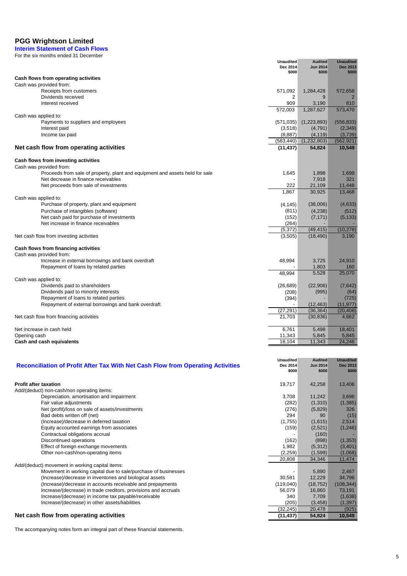**Interim Statement of Cash Flows**

| For the six months ended 31 December                                         |                              |                                   |                              |
|------------------------------------------------------------------------------|------------------------------|-----------------------------------|------------------------------|
|                                                                              | <b>Unaudited</b><br>Dec 2014 | <b>Audited</b><br><b>Jun 2014</b> | <b>Unaudited</b><br>Dec 2013 |
|                                                                              | \$000                        | \$000                             | \$000                        |
| Cash flows from operating activities                                         |                              |                                   |                              |
| Cash was provided from:                                                      |                              |                                   |                              |
| Receipts from customers                                                      | 571,092                      | 1,284,428                         | 572,658                      |
| Dividends received                                                           | 2                            | 9                                 |                              |
| Interest received                                                            | 909                          | 3,190<br>1,287,627                | 810<br>573,470               |
|                                                                              | 572,003                      |                                   |                              |
| Cash was applied to:<br>Payments to suppliers and employees                  | (571, 035)                   | (1,223,893)                       | (556, 833)                   |
| Interest paid                                                                | (3,518)                      | (4,791)                           | (2, 349)                     |
| Income tax paid                                                              | (8,887)                      | (4, 119)                          | (3,739)                      |
|                                                                              | (583, 440)                   | (1,232,803)                       | (562, 921)                   |
| Net cash flow from operating activities                                      | (11, 437)                    | 54,824                            | 10,549                       |
|                                                                              |                              |                                   |                              |
| Cash flows from investing activities                                         |                              |                                   |                              |
| Cash was provided from:                                                      |                              |                                   |                              |
| Proceeds from sale of property, plant and equipment and assets held for sale | 1,645                        | 1,898                             | 1,699                        |
| Net decrease in finance receivables                                          |                              | 7,918                             | 321                          |
| Net proceeds from sale of investments                                        | 222                          | 21,109                            | 11,448                       |
|                                                                              | 1,867                        | 30,925                            | 13,468                       |
| Cash was applied to:                                                         |                              |                                   |                              |
| Purchase of property, plant and equipment                                    | (4, 145)                     | (38,006)                          | (4,633)                      |
| Purchase of intangibles (software)                                           | (811)                        | (4, 238)                          | (512)                        |
| Net cash paid for purchase of investments                                    | (152)                        | (7, 171)                          | (5, 133)                     |
| Net increase in finance receivables                                          | (264)                        |                                   |                              |
|                                                                              | (5, 372)                     | (49, 415)                         | (10, 278)                    |
| Net cash flow from investing activities                                      | (3,505)                      | (18, 490)                         | 3,190                        |
|                                                                              |                              |                                   |                              |
| Cash flows from financing activities<br>Cash was provided from:              |                              |                                   |                              |
| Increase in external borrowings and bank overdraft                           | 48,994                       | 3,725                             | 24,910                       |
| Repayment of loans by related parties                                        |                              | 1,803                             | 160                          |
|                                                                              | 48,994                       | 5,528                             | 25,070                       |
| Cash was applied to:                                                         |                              |                                   |                              |
| Dividends paid to shareholders                                               | (26, 689)                    | (22,906)                          | (7,642)                      |
| Dividends paid to minority interests                                         | (208)                        | (995)                             | (64)                         |
| Repayment of loans to related parties                                        | (394)                        |                                   | (725)                        |
| Repayment of external borrowings and bank overdraft                          |                              | (12, 463)                         | (11, 977)                    |
|                                                                              | (27, 291)                    | (36, 364)                         | (20, 408)                    |
| Net cash flow from financing activities                                      | 21,703                       | (30, 836)                         | 4,662                        |
| Net increase in cash held                                                    | 6,761                        | 5,498                             | 18,401                       |
| Opening cash                                                                 | 11,343                       | 5,845                             | 5,845                        |
| Cash and cash equivalents                                                    | 18,104                       | 11,343                            | 24,246                       |

| Reconciliation of Profit After Tax With Net Cash Flow from Operating Activities | <b>Unaudited</b><br>Dec 2014<br>\$000 | <b>Audited</b><br><b>Jun 2014</b><br>\$000 | <b>Unaudited</b><br>Dec 2013<br>\$000 |
|---------------------------------------------------------------------------------|---------------------------------------|--------------------------------------------|---------------------------------------|
| <b>Profit after taxation</b>                                                    | 19,717                                | 42,258                                     | 13,406                                |
| Add/(deduct) non-cash/non operating items:                                      |                                       |                                            |                                       |
| Depreciation, amortisation and impairment                                       | 3,708                                 | 11,242                                     | 3,696                                 |
| Fair value adjustments                                                          | (282)                                 | (1,310)                                    | (1, 385)                              |
| Net (profit)/loss on sale of assets/investments                                 | (276)                                 | (5,829)                                    | 326                                   |
| Bad debts written off (net)                                                     | 294                                   | 90                                         | (15)                                  |
| (Increase)/decrease in deferred taxation                                        | (1,755)                               | (1,615)                                    | 2,514                                 |
| Equity accounted earnings from associates                                       | (159)                                 | (2,521)                                    | (1,246)                               |
| Contractual obligations accrual                                                 |                                       | (160)                                      |                                       |
| Discontinued operations                                                         | (162)                                 | (898)                                      | (1, 353)                              |
| Effect of foreign exchange movements                                            | 1,982                                 | (5,312)                                    | (3,401)                               |
| Other non-cash/non-operating items                                              | (2,259)                               | (1,599)                                    | (1,068)                               |
|                                                                                 | 20,808                                | 34,346                                     | 11,474                                |
| Add/(deduct) movement in working capital items:                                 |                                       |                                            |                                       |
| Movement in working capital due to sale/purchase of businesses                  |                                       | 5,890                                      | 2,467                                 |
| (Increase)/decrease in inventories and biological assets                        | 30,581                                | 12,229                                     | 34,796                                |
| (Increase)/decrease in accounts receivable and prepayments                      | (119,040)                             | (18, 752)                                  | (108, 344)                            |
| Increase/(decrease) in trade creditors, provisions and accruals                 | 56,079                                | 16,860                                     | 73,191                                |
| Increase/(decrease) in income tax payable/receivable                            | 340                                   | 7,709                                      | (1,638)                               |
| Increase/(decrease) in other assets/liabilities                                 | (205)                                 | (3, 458)                                   | (1, 397)                              |
|                                                                                 | (32, 245)                             | 20,478                                     | (925)                                 |
| Net cash flow from operating activities                                         | (11, 437)                             | 54,824                                     | 10,549                                |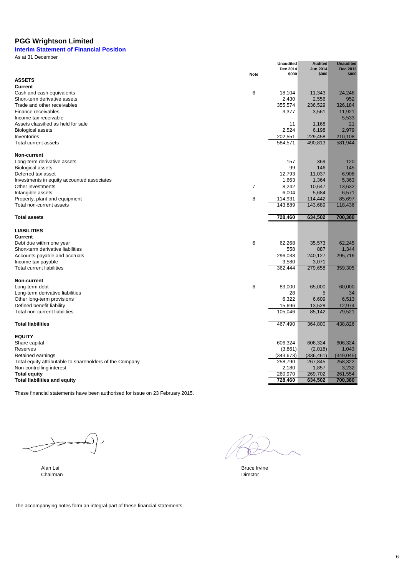# **Interim Statement of Financial Position**

As at 31 December

|                                                          |                | <b>Unaudited</b>  | <b>Audited</b>           | <b>Unaudited</b>  |
|----------------------------------------------------------|----------------|-------------------|--------------------------|-------------------|
|                                                          | <b>Note</b>    | Dec 2014<br>\$000 | <b>Jun 2014</b><br>\$000 | Dec 2013<br>\$000 |
| <b>ASSETS</b>                                            |                |                   |                          |                   |
| Current                                                  |                |                   |                          |                   |
| Cash and cash equivalents                                | 6              | 18,104            | 11,343                   | 24.246            |
| Short-term derivative assets                             |                | 2,430             | 2,556                    | 952               |
| Trade and other receivables                              |                | 355,574           | 236,529                  | 326,184           |
| Finance receivables                                      |                | 3,377             | 3,561                    | 11,921            |
| Income tax receivable                                    |                | $\overline{a}$    |                          | 5,533             |
| Assets classified as held for sale                       |                | 11                | 1,168                    | 21                |
| <b>Biological assets</b>                                 |                | 2,524             | 6,198                    | 2,979             |
| Inventories                                              |                | 202,551           | 229,458                  | 210,108           |
| Total current assets                                     |                | 584,571           | 490,813                  | 581,944           |
| <b>Non-current</b>                                       |                |                   |                          |                   |
| Long-term derivative assets                              |                | 157               | 369                      | 120               |
| <b>Biological assets</b>                                 |                | 99                | 146                      | 145               |
| Deferred tax asset                                       |                | 12,793            | 11,037                   | 6,908             |
| Investments in equity accounted associates               |                | 1,663             | 1,364                    | 5,363             |
| Other investments                                        | $\overline{7}$ | 8,242             | 10,647                   | 13,632            |
| Intangible assets                                        |                | 6,004             | 5,684                    | 6,571             |
| Property, plant and equipment                            | 8              | 114,931           | 114,442                  | 85,697            |
| Total non-current assets                                 |                | 143,889           | 143,689                  | 118,436           |
| <b>Total assets</b>                                      |                | 728,460           | 634,502                  | 700,380           |
|                                                          |                |                   |                          |                   |
| <b>LIABILITIES</b>                                       |                |                   |                          |                   |
| <b>Current</b>                                           |                |                   |                          |                   |
| Debt due within one year                                 | 6              | 62,268            | 35,573                   | 62,245            |
| Short-term derivative liabilities                        |                | 558               | 887                      | 1,344             |
| Accounts payable and accruals                            |                | 296,038           | 240,127                  | 295,716           |
| Income tax payable<br><b>Total current liabilities</b>   |                | 3,580<br>362,444  | 3,071<br>279,658         | 359,305           |
|                                                          |                |                   |                          |                   |
| Non-current                                              |                |                   |                          |                   |
| Long-term debt                                           | 6              | 83,000            | 65,000                   | 60,000            |
| Long-term derivative liabilities                         |                | 28                | 5                        | 34                |
| Other long-term provisions                               |                | 6,322             | 6,609                    | 6,513             |
| Defined benefit liability                                |                | 15,696            | 13,528                   | 12,974            |
| Total non-current liabilities                            |                | 105,046           | 85,142                   | 79,521            |
| <b>Total liabilities</b>                                 |                | 467,490           | 364,800                  | 438,826           |
| <b>EQUITY</b>                                            |                |                   |                          |                   |
| Share capital                                            |                | 606,324           | 606,324                  | 606,324           |
| Reserves                                                 |                | (3,861)           | (2,018)                  | 1,043             |
| Retained earnings                                        |                | (343, 673)        | (336, 461)               | (349, 045)        |
| Total equity attributable to shareholders of the Company |                | 258,790           | 267,845                  | 258,322           |
| Non-controlling interest                                 |                | 2,180             | 1,857                    | 3,232             |
| <b>Total equity</b>                                      |                | 260,970           | 269,702                  | 261,554           |
| <b>Total liabilities and equity</b>                      |                | 728,460           | 634,502                  | 700,380           |

These financial statements have been authorised for issue on 23 February 2015.

 $\longleftrightarrow$ 

**Chairman** Director **Chairman** Director **Chairman** Director **Chairman** Director

Alan Lai Bruce Irvine Chairman and the Chairman and the Chairman and the Chairman and the Chairman and the Chairman and the Chairman and the Chairman and the Chairman and the Chairman and the Chairman and the Chairman and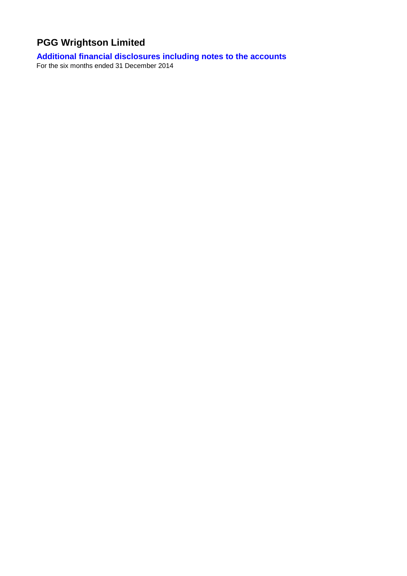# **Additional financial disclosures including notes to the accounts**

For the six months ended 31 December 2014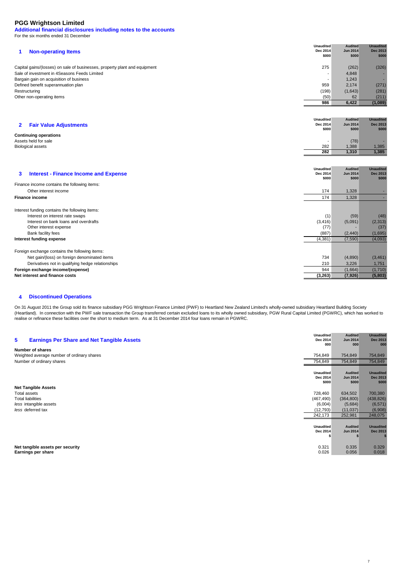**Additional financial disclosures including notes to the accounts** For the six months ended 31 December

|                                                                            | <b>Unaudited</b> | <b>Audited</b> | <b>Unaudited</b> |
|----------------------------------------------------------------------------|------------------|----------------|------------------|
| <b>Non-operating Items</b>                                                 | Dec 2014         | Jun 2014       | <b>Dec 2013</b>  |
|                                                                            | \$000            | \$000          | \$000            |
| Capital gains/(losses) on sale of businesses, property plant and equipment | 275              | (262)          | (326)            |
| Sale of investment in 4Seasons Feeds Limited                               |                  |                |                  |
|                                                                            |                  | 4,848          |                  |
| Bargain gain on acquisition of business                                    | ۰                | 1,243          |                  |
| Defined benefit superannuation plan                                        | 959              | 2.174          | (271)            |
| Restructuring                                                              | (198)            | (1,643)        | (281)            |
| Other non-operating items                                                  | (50)             | 62             | (211)            |
|                                                                            | 986              | 6,422          | (1,089)          |

| 2 Fair Value Adjustments     | <b>Unaudited</b><br>Dec 2014<br>\$000 | <b>Audited</b><br><b>Jun 2014</b><br>\$000 | <b>Unaudited</b><br>Dec 2013<br>\$000 |
|------------------------------|---------------------------------------|--------------------------------------------|---------------------------------------|
| <b>Continuing operations</b> |                                       |                                            |                                       |
| Assets held for sale         |                                       | (78)                                       |                                       |
| <b>Biological assets</b>     | 282                                   | 1,388                                      | 1,385                                 |
|                              | 282                                   | 1,310                                      | 1.385                                 |

| <b>Interest - Finance Income and Expense</b><br>3                                                                                                                                                                          | <b>Unaudited</b><br>Dec 2014<br>\$000        | <b>Audited</b><br><b>Jun 2014</b><br>\$000 | <b>Unaudited</b><br>Dec 2013<br>\$000          |
|----------------------------------------------------------------------------------------------------------------------------------------------------------------------------------------------------------------------------|----------------------------------------------|--------------------------------------------|------------------------------------------------|
| Finance income contains the following items:                                                                                                                                                                               |                                              |                                            |                                                |
| Other interest income                                                                                                                                                                                                      | 174                                          | 1,328                                      |                                                |
| <b>Finance income</b>                                                                                                                                                                                                      | 174                                          | 1,328                                      |                                                |
| Interest funding contains the following items:<br>Interest on interest rate swaps<br>Interest on bank loans and overdrafts<br>Other interest expense<br>Bank facility fees<br>Interest funding expense                     | (1)<br>(3, 416)<br>(77)<br>(887)<br>(4, 381) | (59)<br>(5,091)<br>(2, 440)<br>(7,590)     | (48)<br>(2, 313)<br>(37)<br>(1,695)<br>(4,093) |
| Foreign exchange contains the following items:<br>Net gain/(loss) on foreign denominated items<br>Derivatives not in qualifying hedge relationships<br>Foreign exchange income/(expense)<br>Net interest and finance costs | 734<br>210<br>944<br>(3,263)                 | (4,890)<br>3,226<br>(1,664)<br>(7, 926)    | (3, 461)<br>1,751<br>(1,710)<br>(5,803)        |

#### **4 Discontinued Operations**

On 31 August 2011 the Group sold its finance subsidiary PGG Wrightson Finance Limited (PWF) to Heartland New Zealand Limited's wholly-owned subsidiary Heartland Building Society (Heartland). In connection with the PWF sale transaction the Group transferred certain excluded loans to its wholly owned subsidiary, PGW Rural Capital Limited (PGWRC), which has worked to realise or refinance these facilities over the short to medium term. As at 31 December 2014 four loans remain in PGWRC.

| 5 | <b>Earnings Per Share and Net Tangible Assets</b> | <b>Unaudited</b><br>Dec 2014<br>000 | <b>Audited</b><br><b>Jun 2014</b><br>000 | <b>Unaudited</b><br>Dec 2013<br>000 |
|---|---------------------------------------------------|-------------------------------------|------------------------------------------|-------------------------------------|
|   | Number of shares                                  |                                     |                                          |                                     |
|   | Weighted average number of ordinary shares        | 754,849                             | 754,849                                  | 754,849                             |
|   | Number of ordinary shares                         | 754,849                             | 754,849                                  | 754,849                             |
|   |                                                   |                                     |                                          |                                     |
|   |                                                   | <b>Unaudited</b>                    | <b>Audited</b>                           | <b>Unaudited</b>                    |
|   |                                                   | Dec 2014<br>\$000                   | <b>Jun 2014</b><br>\$000                 | Dec 2013<br>\$000                   |
|   | <b>Net Tangible Assets</b>                        |                                     |                                          |                                     |
|   | Total assets                                      | 728,460                             | 634,502                                  | 700,380                             |
|   | <b>Total liabilities</b>                          | (467, 490)                          | (364, 800)                               | (438, 826)                          |
|   | less intangible assets                            | (6,004)                             | (5,684)                                  | (6, 571)                            |
|   | less deferred tax                                 | (12, 793)                           | (11, 037)                                | (6,908)                             |
|   |                                                   | 242,173                             | 252,981                                  | 248,075                             |
|   |                                                   |                                     |                                          |                                     |
|   |                                                   | <b>Unaudited</b>                    | <b>Audited</b>                           | <b>Unaudited</b>                    |
|   |                                                   | Dec 2014                            | <b>Jun 2014</b>                          | Dec 2013                            |
|   |                                                   |                                     |                                          |                                     |
|   | Net tangible assets per security                  | 0.321                               | 0.335                                    | 0.329                               |
|   | Earnings per share                                | 0.026                               | 0.056                                    | 0.018                               |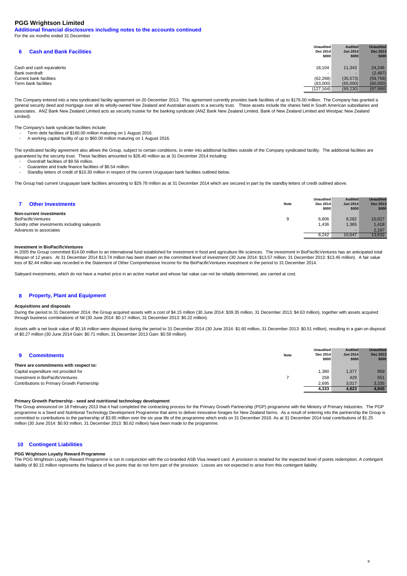**Additional financial disclosures including notes to the accounts continued** For the six months ended 31 December

| <b>Cash and Bank Facilities</b> | <b>Unaudited</b><br>Dec 2014<br>\$000 | <b>Audited</b><br><b>Jun 2014</b><br>\$000 | <b>Unaudited</b><br><b>Dec 2013</b><br>\$000 |
|---------------------------------|---------------------------------------|--------------------------------------------|----------------------------------------------|
| Cash and cash equivalents       | 18.104                                | 11.343                                     | 24.246                                       |
| Bank overdraft                  |                                       |                                            | (2, 487)                                     |
| Current bank facilities         | (62, 268)                             | (35,573)                                   | (59, 758)                                    |
| Term bank facilities            | (83,000)                              | (65,000)                                   | (60,000)                                     |
|                                 | (127, 164)                            | (89, 230)                                  | (97, 999)                                    |

The Company entered into a new syndicated facility agreement on 20 December 2013. This agreement currently provides bank facilities of up to \$176.00 million. The Company has granted a general security deed and mortgage over all its wholly-owned New Zealand and Australian assets to a security trust. These assets include the shares held in South American subsidiaries and .<br>associates. ANZ Bank New Zealand Limited acts as security trustee for the banking syndicate (ANZ Bank New Zealand Limited, Bank of New Zealand Limited and Westpac New Zealand Limited).

The Company's bank syndicate facilities include:<br>Term debt facilities of \$160.00 million ma

- Term debt facilities of \$160.00 million maturing on 1 August 2016.
- A working capital facility of up to \$60.00 million maturing on 1 August 2016.

The syndicated facility agreement also allows the Group, subject to certain conditions, to enter into additional facilities outside of the Company syndicated facility. The additional facilities are guaranteed by the security trust. These facilities amounted to \$26.40 million as at 31 December 2014 including:

- Overdraft facilities of \$9.56 million.
- Guarantee and trade finance facilities of \$6.54 million.

- Standby letters of credit of \$10.30 million in respect of the current Uruguayan bank facilities outlined below.

The Group had current Uruguayan bank facilities amounting to \$29.78 million as at 31 December 2014 which are secured in part by the standby letters of credit outlined above.

| <b>Other Investments</b>                     | <b>Unaudited</b><br><b>Note</b><br>Dec 2014<br>\$000 | <b>Audited</b><br><b>Jun 2014</b><br>\$000 | <b>Unaudited</b><br><b>Dec 2013</b><br>\$000 |
|----------------------------------------------|------------------------------------------------------|--------------------------------------------|----------------------------------------------|
| Non-current investments                      |                                                      |                                            |                                              |
| <b>BioPacificVentures</b>                    | 6.806                                                | 9,282                                      | 10,027                                       |
| Sundry other investments including saleyards | 1,436                                                | 1,365                                      | 1,418                                        |
| Advances to associates                       |                                                      |                                            | 2.187                                        |
|                                              | 8.242                                                | 10,647                                     | 13,632                                       |
|                                              |                                                      |                                            |                                              |

### **Investment in BioPacificVentures**

In 2005 the Group committed \$14.00 million to an international fund established for investment in food and agriculture life sciences. The investment in BioPacificVentures has an anticipated total lifespan of 12 years. At 31 December 2014 \$13.74 million has been drawn on the committed level of investment (30 June 2014: \$13.57 million, 31 December 2013: \$13.45 million). A fair value loss of \$2.44 million was recorded in the Statement of Other Comprehensive Income for the BioPacificVentures investment in the period to 31 December 2014.

Saleyard investments, which do not have a market price in an active market and whose fair value can not be reliably determined, are carried at cost.

#### **8 Property, Plant and Equipment**

### **Acquisitions and disposals**

During the period to 31 December 2014, the Group acquired assets with a cost of \$4.15 million (30 June 2014: \$39.35 million, 31 December 2013: \$4.63 million), together with assets acquired through business combinations of Nil (30 June 2014: \$0.17 million, 31 December 2013: \$0.22 million).

Assets with a net book value of \$0.16 million were disposed during the period to 31 December 2014 (30 June 2014: \$1.60 million, 31 December 2013: \$0.51 million), resulting in a gain on disposal of \$0.27 million (30 June 2014 Gain: \$0.71 million, 31 December 2013 Gain: \$0.59 million).

| <b>Note</b><br><b>Commitments</b>           | <b>Unaudited</b><br>Dec 2014<br>\$000 | <b>Audited</b><br><b>Jun 2014</b><br>\$000 | <b>Unaudited</b><br>Dec 2013<br>\$000 |
|---------------------------------------------|---------------------------------------|--------------------------------------------|---------------------------------------|
| There are commitments with respect to:      |                                       |                                            |                                       |
| Capital expenditure not provided for        | 1,380                                 | 1,377                                      | 959                                   |
| Investment in BioPacificVentures            | 258                                   | 429                                        | 551                                   |
| Contributions to Primary Growth Partnership | 2.695                                 | 3,017                                      | 3,335                                 |
|                                             | 4,333                                 | 4,823                                      | 4.845                                 |

## **Primary Growth Partnership - seed and nutritional technology development**

The Group announced on 18 February 2013 that it had completed the contracting process for the Primary Growth Partnership (PGP) programme with the Ministry of Primary Industries. The PGP programme is a Seed and Nutritional Technology Development Programme that aims to deliver innovative forages for New Zealand farms. As a result of entering into the partnership the Group is committed to contributions to the partnership of \$3.95 million over the six year life of the programme which ends on 31 December 2018. As at 31 December 2014 total contributions of \$1.25 million (30 June 2014: \$0.93 million, 31 December 2013: \$0.62 million) have been made to the programme.

## **10 Contingent Liabilities**

### **PGG Wrightson Loyalty Reward Programme**

The PGG Wrightson Loyalty Reward Programme is run in conjunction with the co-branded ASB Visa reward card. A provision is retained for the expected level of points redemption. A contingent liability of \$0.15 million represents the balance of live points that do not form part of the provision. Losses are not expected to arise from this contingent liability.

8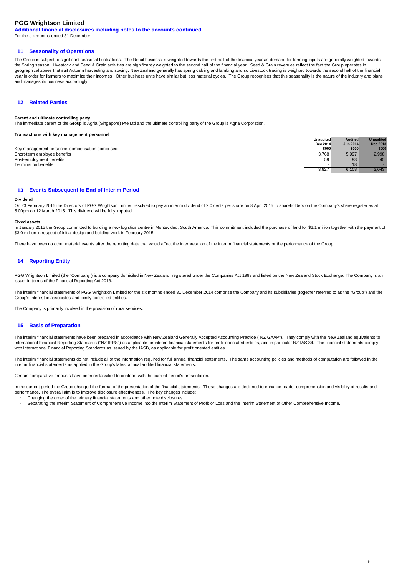**Additional financial disclosures including notes to the accounts continued**

For the six months ended 31 December

## **11 Seasonality of Operations**

The Group is subject to significant seasonal fluctuations. The Retail business is weighted towards the first half of the financial year as demand for farming inputs are generally weighted towards the Spring season. Livestock and Seed & Grain activities are significantly weighted to the second half of the financial year. Seed & Grain revenues reflect the fact the Group operates in geographical zones that suit Autumn harvesting and sowing. New Zealand generally has spring calving and lambing and so Livestock trading is weighted towards the second half of the financial year in order for farmers to maximize their incomes. Other business units have similar but less material cycles. The Group recognises that this seasonality is the nature of the industry and plans and manages its business accordingly.

# **12 Related Parties**

## **Parent and ultimate controlling party**

The immediate parent of the Group is Agria (Singapore) Pte Ltd and the ultimate controlling party of the Group is Agria Corporation.

## **Transactions with key management personnel**

|                                                  | <b>Unaudited</b> | <b>Audited</b>  | <b>Unaudited</b> |
|--------------------------------------------------|------------------|-----------------|------------------|
|                                                  | Dec 2014         | <b>Jun 2014</b> | <b>Dec 2013</b>  |
| Key management personnel compensation comprised: | \$000            | \$000           | \$000            |
| Short-term employee benefits                     | 3,768            | 5,997           | 2,998            |
| Post-employment benefits                         | 59               | 93              | 45               |
| Termination benefits                             |                  | 18              |                  |
|                                                  | 3.827            | 6.108           | 3.043            |

## **13 Events Subsequent to End of Interim Period**

### **Dividend**

On 23 February 2015 the Directors of PGG Wrightson Limited resolved to pay an interim dividend of 2.0 cents per share on 8 April 2015 to shareholders on the Company's share register as at 5.00pm on 12 March 2015. This dividend will be fully imputed.

### **Fixed assets**

In January 2015 the Group committed to building a new logistics centre in Montevideo, South America. This commitment included the purchase of land for \$2.1 million together with the payment of \$3.0 million in respect of initial design and building work in February 2015.

There have been no other material events after the reporting date that would affect the interpretation of the interim financial statements or the performance of the Group.

## **14 Reporting Entity**

PGG Wrightson Limited (the "Company") is a company domiciled in New Zealand, registered under the Companies Act 1993 and listed on the New Zealand Stock Exchange. The Company is an issuer in terms of the Financial Reporting Act 2013.

The interim financial statements of PGG Wrightson Limited for the six months ended 31 December 2014 comprise the Company and its subsidiaries (together referred to as the "Group") and the Group's interest in associates and jointly controlled entities.

The Company is primarily involved in the provision of rural services.

## **15 Basis of Preparation**

The interim financial statements have been prepared in accordance with New Zealand Generally Accepted Accounting Practice ("NZ GAAP"). They comply with the New Zealand equivalents to International Financial Reporting Standards ("NZ IFRS") as applicable for interim financial statements for profit orientated entities, and in particular NZ IAS 34. The financial statements comply with International Financial Reporting Standards as issued by the IASB, as applicable for profit oriented entities.

The interim financial statements do not include all of the information required for full annual financial statements. The same accounting policies and methods of computation are followed in the interim financial statements as applied in the Group's latest annual audited financial statements.

Certain comparative amounts have been reclassified to conform with the current period's presentation.

In the current period the Group changed the format of the presentation of the financial statements. These changes are designed to enhance reader comprehension and visibility of results and performance. The overall aim is to improve disclosure effectiveness. The key changes include:

 $\alpha$ 

- Changing the order of the primary financial statements and other note disclosures.
- Separating the Interim Statement of Comprehensive Income into the Interim Statement of Profit or Loss and the Interim Statement of Other Comprehensive Income.